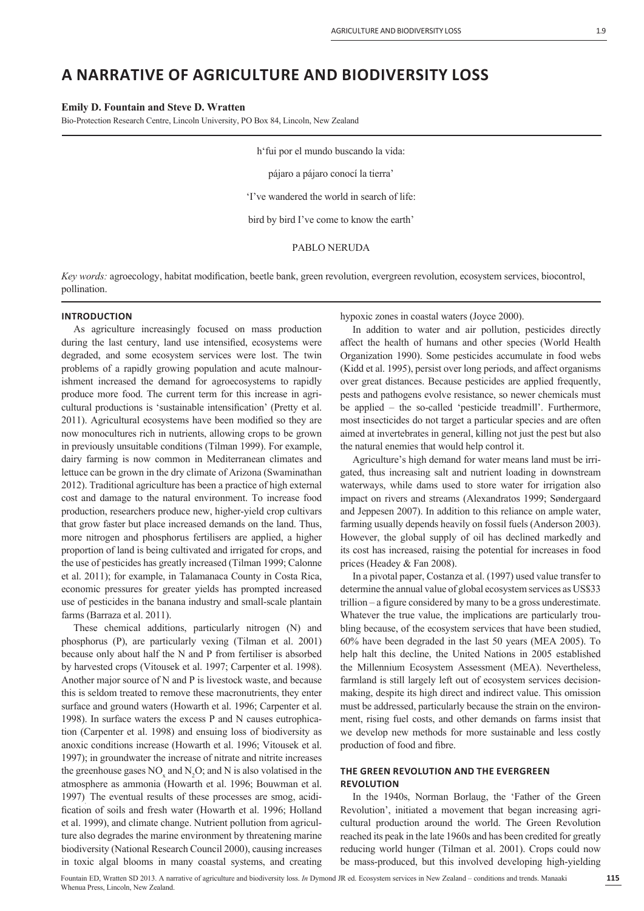# **A NARRATIVE OF AGRICULTURE AND BIODIVERSITY LOSS**

**Emily D. Fountain and Steve D. Wratten**

Bio-Protection Research Centre, Lincoln University, PO Box 84, Lincoln, New Zealand

h'fui por el mundo buscando la vida: pájaro a pájaro conocí la tierra' 'I've wandered the world in search of life: bird by bird I've come to know the earth' PABLO NERUDA

*Key words:* agroecology, habitat modification, beetle bank, green revolution, evergreen revolution, ecosystem services, biocontrol, pollination.

# **INTRODUCTION**

As agriculture increasingly focused on mass production during the last century, land use intensified, ecosystems were degraded, and some ecosystem services were lost. The twin problems of a rapidly growing population and acute malnourishment increased the demand for agroecosystems to rapidly produce more food. The current term for this increase in agricultural productions is 'sustainable intensification' (Pretty et al. 2011). Agricultural ecosystems have been modified so they are now monocultures rich in nutrients, allowing crops to be grown in previously unsuitable conditions (Tilman 1999). For example, dairy farming is now common in Mediterranean climates and lettuce can be grown in the dry climate of Arizona (Swaminathan 2012). Traditional agriculture has been a practice of high external cost and damage to the natural environment. To increase food production, researchers produce new, higher-yield crop cultivars that grow faster but place increased demands on the land. Thus, more nitrogen and phosphorus fertilisers are applied, a higher proportion of land is being cultivated and irrigated for crops, and the use of pesticides has greatly increased (Tilman 1999; Calonne et al. 2011); for example, in Talamanaca County in Costa Rica, economic pressures for greater yields has prompted increased use of pesticides in the banana industry and small-scale plantain farms (Barraza et al. 2011).

These chemical additions, particularly nitrogen (N) and phosphorus (P), are particularly vexing (Tilman et al. 2001) because only about half the N and P from fertiliser is absorbed by harvested crops (Vitousek et al. 1997; Carpenter et al. 1998). Another major source of N and P is livestock waste, and because this is seldom treated to remove these macronutrients, they enter surface and ground waters (Howarth et al. 1996; Carpenter et al. 1998). In surface waters the excess P and N causes eutrophication (Carpenter et al. 1998) and ensuing loss of biodiversity as anoxic conditions increase (Howarth et al. 1996; Vitousek et al. 1997); in groundwater the increase of nitrate and nitrite increases the greenhouse gases  $NO<sub>x</sub>$  and  $N<sub>2</sub>O$ ; and N is also volatised in the atmosphere as ammonia (Howarth et al. 1996; Bouwman et al. 1997). The eventual results of these processes are smog, acidification of soils and fresh water (Howarth et al. 1996; Holland et al. 1999), and climate change. Nutrient pollution from agriculture also degrades the marine environment by threatening marine biodiversity (National Research Council 2000), causing increases in toxic algal blooms in many coastal systems, and creating

hypoxic zones in coastal waters (Joyce 2000).

In addition to water and air pollution, pesticides directly affect the health of humans and other species (World Health Organization 1990). Some pesticides accumulate in food webs (Kidd et al. 1995), persist over long periods, and affect organisms over great distances. Because pesticides are applied frequently, pests and pathogens evolve resistance, so newer chemicals must be applied – the so-called 'pesticide treadmill'. Furthermore, most insecticides do not target a particular species and are often aimed at invertebrates in general, killing not just the pest but also the natural enemies that would help control it.

Agriculture's high demand for water means land must be irrigated, thus increasing salt and nutrient loading in downstream waterways, while dams used to store water for irrigation also impact on rivers and streams (Alexandratos 1999; Søndergaard and Jeppesen 2007). In addition to this reliance on ample water, farming usually depends heavily on fossil fuels (Anderson 2003). However, the global supply of oil has declined markedly and its cost has increased, raising the potential for increases in food prices (Headey & Fan 2008).

In a pivotal paper, Costanza et al. (1997) used value transfer to determine the annual value of global ecosystem services as US\$33 trillion – a figure considered by many to be a gross underestimate. Whatever the true value, the implications are particularly troubling because, of the ecosystem services that have been studied, 60% have been degraded in the last 50 years (MEA 2005). To help halt this decline, the United Nations in 2005 established the Millennium Ecosystem Assessment (MEA). Nevertheless, farmland is still largely left out of ecosystem services decisionmaking, despite its high direct and indirect value. This omission must be addressed, particularly because the strain on the environment, rising fuel costs, and other demands on farms insist that we develop new methods for more sustainable and less costly production of food and fibre.

# **THE GREEN REVOLUTION AND THE EVERGREEN REVOLUTION**

In the 1940s, Norman Borlaug, the 'Father of the Green Revolution', initiated a movement that began increasing agricultural production around the world. The Green Revolution reached its peak in the late 1960s and has been credited for greatly reducing world hunger (Tilman et al. 2001). Crops could now be mass-produced, but this involved developing high-yielding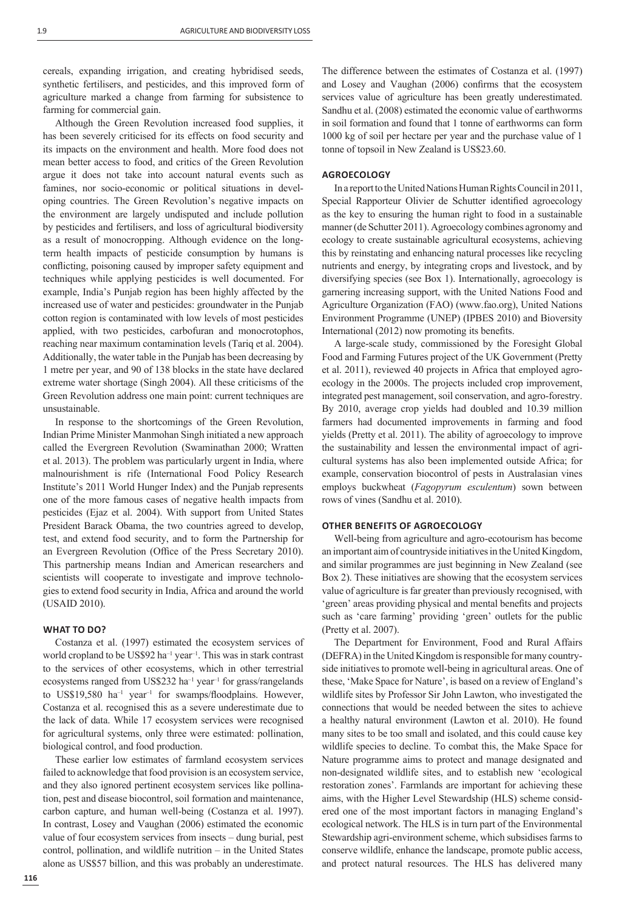cereals, expanding irrigation, and creating hybridised seeds, synthetic fertilisers, and pesticides, and this improved form of agriculture marked a change from farming for subsistence to farming for commercial gain.

Although the Green Revolution increased food supplies, it has been severely criticised for its effects on food security and its impacts on the environment and health. More food does not mean better access to food, and critics of the Green Revolution argue it does not take into account natural events such as famines, nor socio-economic or political situations in developing countries. The Green Revolution's negative impacts on the environment are largely undisputed and include pollution by pesticides and fertilisers, and loss of agricultural biodiversity as a result of monocropping. Although evidence on the longterm health impacts of pesticide consumption by humans is conflicting, poisoning caused by improper safety equipment and techniques while applying pesticides is well documented. For example, India's Punjab region has been highly affected by the increased use of water and pesticides: groundwater in the Punjab cotton region is contaminated with low levels of most pesticides applied, with two pesticides, carbofuran and monocrotophos, reaching near maximum contamination levels (Tariq et al. 2004). Additionally, the water table in the Punjab has been decreasing by 1 metre per year, and 90 of 138 blocks in the state have declared extreme water shortage (Singh 2004). All these criticisms of the Green Revolution address one main point: current techniques are unsustainable.

In response to the shortcomings of the Green Revolution, Indian Prime Minister Manmohan Singh initiated a new approach called the Evergreen Revolution (Swaminathan 2000; Wratten et al. 2013). The problem was particularly urgent in India, where malnourishment is rife (International Food Policy Research Institute's 2011 World Hunger Index) and the Punjab represents one of the more famous cases of negative health impacts from pesticides (Ejaz et al. 2004). With support from United States President Barack Obama, the two countries agreed to develop, test, and extend food security, and to form the Partnership for an Evergreen Revolution (Office of the Press Secretary 2010). This partnership means Indian and American researchers and scientists will cooperate to investigate and improve technologies to extend food security in India, Africa and around the world (USAID 2010).

## **WHAT TO DO?**

Costanza et al. (1997) estimated the ecosystem services of world cropland to be US\$92 ha<sup>-1</sup> year<sup>-1</sup>. This was in stark contrast to the services of other ecosystems, which in other terrestrial ecosystems ranged from US\$232 ha<sup>-1</sup> year<sup>-1</sup> for grass/rangelands to US\$19,580 ha<sup>-1</sup> year<sup>-1</sup> for swamps/floodplains. However, Costanza et al. recognised this as a severe underestimate due to the lack of data. While 17 ecosystem services were recognised for agricultural systems, only three were estimated: pollination, biological control, and food production.

These earlier low estimates of farmland ecosystem services failed to acknowledge that food provision is an ecosystem service, and they also ignored pertinent ecosystem services like pollination, pest and disease biocontrol, soil formation and maintenance, carbon capture, and human well-being (Costanza et al. 1997). In contrast, Losey and Vaughan (2006) estimated the economic value of four ecosystem services from insects – dung burial, pest control, pollination, and wildlife nutrition – in the United States alone as US\$57 billion, and this was probably an underestimate.

The difference between the estimates of Costanza et al. (1997) and Losey and Vaughan (2006) confirms that the ecosystem services value of agriculture has been greatly underestimated. Sandhu et al. (2008) estimated the economic value of earthworms in soil formation and found that 1 tonne of earthworms can form 1000 kg of soil per hectare per year and the purchase value of 1 tonne of topsoil in New Zealand is US\$23.60.

## **AGROECOLOGY**

In a report to the United Nations Human Rights Council in 2011, Special Rapporteur Olivier de Schutter identified agroecology as the key to ensuring the human right to food in a sustainable manner (de Schutter 2011). Agroecology combines agronomy and ecology to create sustainable agricultural ecosystems, achieving this by reinstating and enhancing natural processes like recycling nutrients and energy, by integrating crops and livestock, and by diversifying species (see Box 1). Internationally, agroecology is garnering increasing support, with the United Nations Food and Agriculture Organization (FAO) (www.fao.org), United Nations Environment Programme (UNEP) (IPBES 2010) and Bioversity International  $(2012)$  now promoting its benefits.

A large-scale study, commissioned by the Foresight Global Food and Farming Futures project of the UK Government (Pretty et al. 2011), reviewed 40 projects in Africa that employed agroecology in the 2000s. The projects included crop improvement, integrated pest management, soil conservation, and agro-forestry. By 2010, average crop yields had doubled and 10.39 million farmers had documented improvements in farming and food yields (Pretty et al. 2011). The ability of agroecology to improve the sustainability and lessen the environmental impact of agricultural systems has also been implemented outside Africa; for example, conservation biocontrol of pests in Australasian vines employs buckwheat (*Fagopyrum esculentum*) sown between rows of vines (Sandhu et al. 2010).

## **OTHER BENEFITS OF AGROECOLOGY**

Well-being from agriculture and agro-ecotourism has become an important aim of countryside initiatives in the United Kingdom, and similar programmes are just beginning in New Zealand (see Box 2). These initiatives are showing that the ecosystem services value of agriculture is far greater than previously recognised, with 'green' areas providing physical and mental benefits and projects such as 'care farming' providing 'green' outlets for the public (Pretty et al. 2007).

The Department for Environment, Food and Rural Affairs (DEFRA) in the United Kingdom is responsible for many countryside initiatives to promote well-being in agricultural areas. One of these, 'Make Space for Nature', is based on a review of England's wildlife sites by Professor Sir John Lawton, who investigated the connections that would be needed between the sites to achieve a healthy natural environment (Lawton et al. 2010). He found many sites to be too small and isolated, and this could cause key wildlife species to decline. To combat this, the Make Space for Nature programme aims to protect and manage designated and non-designated wildlife sites, and to establish new 'ecological restoration zones'. Farmlands are important for achieving these aims, with the Higher Level Stewardship (HLS) scheme considered one of the most important factors in managing England's ecological network. The HLS is in turn part of the Environmental Stewardship agri-environment scheme, which subsidises farms to conserve wildlife, enhance the landscape, promote public access, and protect natural resources. The HLS has delivered many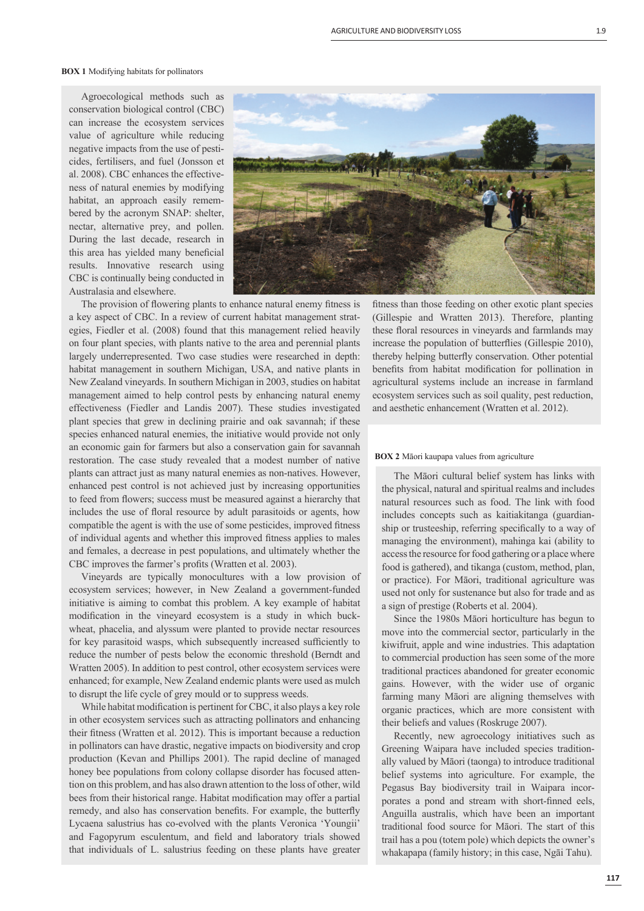#### **BOX 1** Modifying habitats for pollinators

Agroecological methods such as conservation biological control (CBC) can increase the ecosystem services value of agriculture while reducing negative impacts from the use of pesticides, fertilisers, and fuel (Jonsson et al. 2008). CBC enhances the effectiveness of natural enemies by modifying habitat, an approach easily remembered by the acronym SNAP: shelter, nectar, alternative prey, and pollen. During the last decade, research in this area has yielded many beneficial results. Innovative research using CBC is continually being conducted in Australasia and elsewhere.



The provision of flowering plants to enhance natural enemy fitness is a key aspect of CBC. In a review of current habitat management strategies, Fiedler et al. (2008) found that this management relied heavily on four plant species, with plants native to the area and perennial plants largely underrepresented. Two case studies were researched in depth: habitat management in southern Michigan, USA, and native plants in New Zealand vineyards. In southern Michigan in 2003, studies on habitat management aimed to help control pests by enhancing natural enemy effectiveness (Fiedler and Landis 2007). These studies investigated plant species that grew in declining prairie and oak savannah; if these species enhanced natural enemies, the initiative would provide not only an economic gain for farmers but also a conservation gain for savannah restoration. The case study revealed that a modest number of native plants can attract just as many natural enemies as non-natives. However, enhanced pest control is not achieved just by increasing opportunities to feed from flowers; success must be measured against a hierarchy that includes the use of floral resource by adult parasitoids or agents, how compatible the agent is with the use of some pesticides, improved fitness of individual agents and whether this improved fitness applies to males and females, a decrease in pest populations, and ultimately whether the CBC improves the farmer's profits (Wratten et al. 2003).

Vineyards are typically monocultures with a low provision of ecosystem services; however, in New Zealand a government-funded initiative is aiming to combat this problem. A key example of habitat modification in the vineyard ecosystem is a study in which buckwheat, phacelia, and alyssum were planted to provide nectar resources for key parasitoid wasps, which subsequently increased sufficiently to reduce the number of pests below the economic threshold (Berndt and Wratten 2005). In addition to pest control, other ecosystem services were enhanced; for example, New Zealand endemic plants were used as mulch to disrupt the life cycle of grey mould or to suppress weeds.

While habitat modification is pertinent for CBC, it also plays a key role in other ecosystem services such as attracting pollinators and enhancing their fitness (Wratten et al. 2012). This is important because a reduction in pollinators can have drastic, negative impacts on biodiversity and crop production (Kevan and Phillips 2001). The rapid decline of managed honey bee populations from colony collapse disorder has focused attention on this problem, and has also drawn attention to the loss of other, wild bees from their historical range. Habitat modification may offer a partial remedy, and also has conservation benefits. For example, the butterfly Lycaena salustrius has co-evolved with the plants Veronica 'Youngii' and Fagopyrum esculentum, and field and laboratory trials showed that individuals of L. salustrius feeding on these plants have greater

fitness than those feeding on other exotic plant species (Gillespie and Wratten 2013). Therefore, planting these floral resources in vineyards and farmlands may increase the population of butterflies (Gillespie 2010). thereby helping butterfly conservation. Other potential benefits from habitat modification for pollination in agricultural systems include an increase in farmland ecosystem services such as soil quality, pest reduction, and aesthetic enhancement (Wratten et al. 2012).

## **BOX 2** Māori kaupapa values from agriculture

The Māori cultural belief system has links with the physical, natural and spiritual realms and includes natural resources such as food. The link with food includes concepts such as kaitiakitanga (guardianship or trusteeship, referring specifically to a way of managing the environment), mahinga kai (ability to access the resource for food gathering or a place where food is gathered), and tikanga (custom, method, plan, or practice). For Māori, traditional agriculture was used not only for sustenance but also for trade and as a sign of prestige (Roberts et al. 2004).

Since the 1980s Māori horticulture has begun to move into the commercial sector, particularly in the kiwifruit, apple and wine industries. This adaptation to commercial production has seen some of the more traditional practices abandoned for greater economic gains. However, with the wider use of organic farming many Māori are aligning themselves with organic practices, which are more consistent with their beliefs and values (Roskruge 2007).

Recently, new agroecology initiatives such as Greening Waipara have included species traditionally valued by Māori (taonga) to introduce traditional belief systems into agriculture. For example, the Pegasus Bay biodiversity trail in Waipara incorporates a pond and stream with short-finned eels. Anguilla australis, which have been an important traditional food source for Māori. The start of this trail has a pou (totem pole) which depicts the owner's whakapapa (family history; in this case, Ngāi Tahu).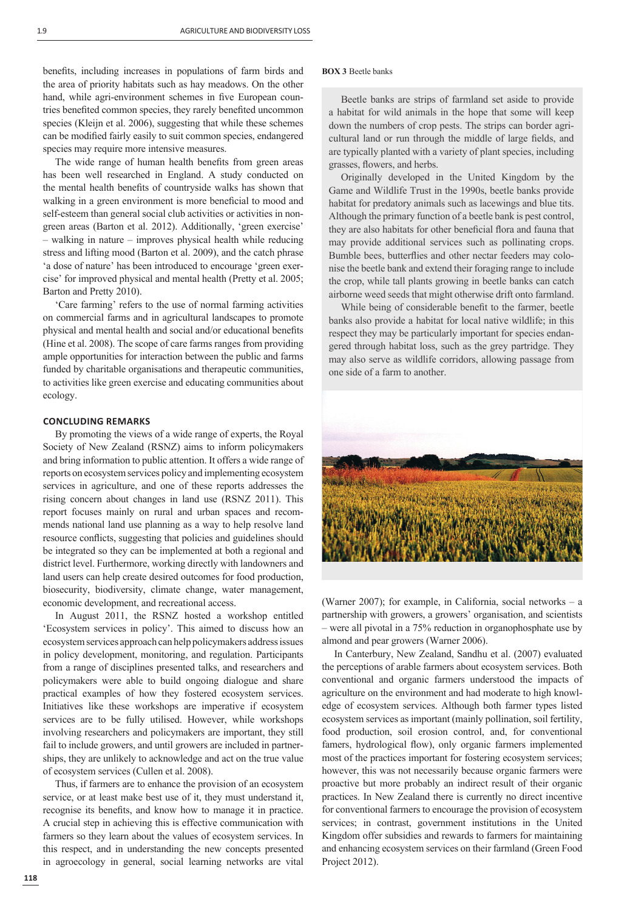benefits, including increases in populations of farm birds and the area of priority habitats such as hay meadows. On the other hand, while agri-environment schemes in five European countries benefited common species, they rarely benefited uncommon species (Kleijn et al. 2006), suggesting that while these schemes can be modified fairly easily to suit common species, endangered species may require more intensive measures.

The wide range of human health benefits from green areas has been well researched in England. A study conducted on the mental health benefits of countryside walks has shown that walking in a green environment is more beneficial to mood and self-esteem than general social club activities or activities in nongreen areas (Barton et al. 2012). Additionally, 'green exercise' – walking in nature – improves physical health while reducing stress and lifting mood (Barton et al. 2009), and the catch phrase 'a dose of nature' has been introduced to encourage 'green exercise' for improved physical and mental health (Pretty et al. 2005; Barton and Pretty 2010).

'Care farming' refers to the use of normal farming activities on commercial farms and in agricultural landscapes to promote physical and mental health and social and/or educational benefits (Hine et al. 2008). The scope of care farms ranges from providing ample opportunities for interaction between the public and farms funded by charitable organisations and therapeutic communities, to activities like green exercise and educating communities about ecology.

## **CONCLUDING REMARKS**

By promoting the views of a wide range of experts, the Royal Society of New Zealand (RSNZ) aims to inform policymakers and bring information to public attention. It offers a wide range of reports on ecosystem services policy and implementing ecosystem services in agriculture, and one of these reports addresses the rising concern about changes in land use (RSNZ 2011). This report focuses mainly on rural and urban spaces and recommends national land use planning as a way to help resolve land resource conflicts, suggesting that policies and guidelines should be integrated so they can be implemented at both a regional and district level. Furthermore, working directly with landowners and land users can help create desired outcomes for food production, biosecurity, biodiversity, climate change, water management, economic development, and recreational access.

In August 2011, the RSNZ hosted a workshop entitled 'Ecosystem services in policy'. This aimed to discuss how an ecosystem services approach can help policymakers address issues in policy development, monitoring, and regulation. Participants from a range of disciplines presented talks, and researchers and policymakers were able to build ongoing dialogue and share practical examples of how they fostered ecosystem services. Initiatives like these workshops are imperative if ecosystem services are to be fully utilised. However, while workshops involving researchers and policymakers are important, they still fail to include growers, and until growers are included in partnerships, they are unlikely to acknowledge and act on the true value of ecosystem services (Cullen et al. 2008).

Thus, if farmers are to enhance the provision of an ecosystem service, or at least make best use of it, they must understand it, recognise its benefits, and know how to manage it in practice. A crucial step in achieving this is effective communication with farmers so they learn about the values of ecosystem services. In this respect, and in understanding the new concepts presented in agroecology in general, social learning networks are vital

### **BOX 3** Beetle banks

Beetle banks are strips of farmland set aside to provide a habitat for wild animals in the hope that some will keep down the numbers of crop pests. The strips can border agricultural land or run through the middle of large fields, and are typically planted with a variety of plant species, including grasses, flowers, and herbs.

Originally developed in the United Kingdom by the Game and Wildlife Trust in the 1990s, beetle banks provide habitat for predatory animals such as lacewings and blue tits. Although the primary function of a beetle bank is pest control, they are also habitats for other beneficial flora and fauna that may provide additional services such as pollinating crops. Bumble bees, butterflies and other nectar feeders may colonise the beetle bank and extend their foraging range to include the crop, while tall plants growing in beetle banks can catch airborne weed seeds that might otherwise drift onto farmland.

While being of considerable benefit to the farmer, beetle banks also provide a habitat for local native wildlife; in this respect they may be particularly important for species endangered through habitat loss, such as the grey partridge. They may also serve as wildlife corridors, allowing passage from one side of a farm to another.



(Warner 2007); for example, in California, social networks – a partnership with growers, a growers' organisation, and scientists – were all pivotal in a 75% reduction in organophosphate use by almond and pear growers (Warner 2006).

In Canterbury, New Zealand, Sandhu et al. (2007) evaluated the perceptions of arable farmers about ecosystem services. Both conventional and organic farmers understood the impacts of agriculture on the environment and had moderate to high knowledge of ecosystem services. Although both farmer types listed ecosystem services as important (mainly pollination, soil fertility, food production, soil erosion control, and, for conventional famers, hydrological flow), only organic farmers implemented most of the practices important for fostering ecosystem services; however, this was not necessarily because organic farmers were proactive but more probably an indirect result of their organic practices. In New Zealand there is currently no direct incentive for conventional farmers to encourage the provision of ecosystem services; in contrast, government institutions in the United Kingdom offer subsidies and rewards to farmers for maintaining and enhancing ecosystem services on their farmland (Green Food Project 2012).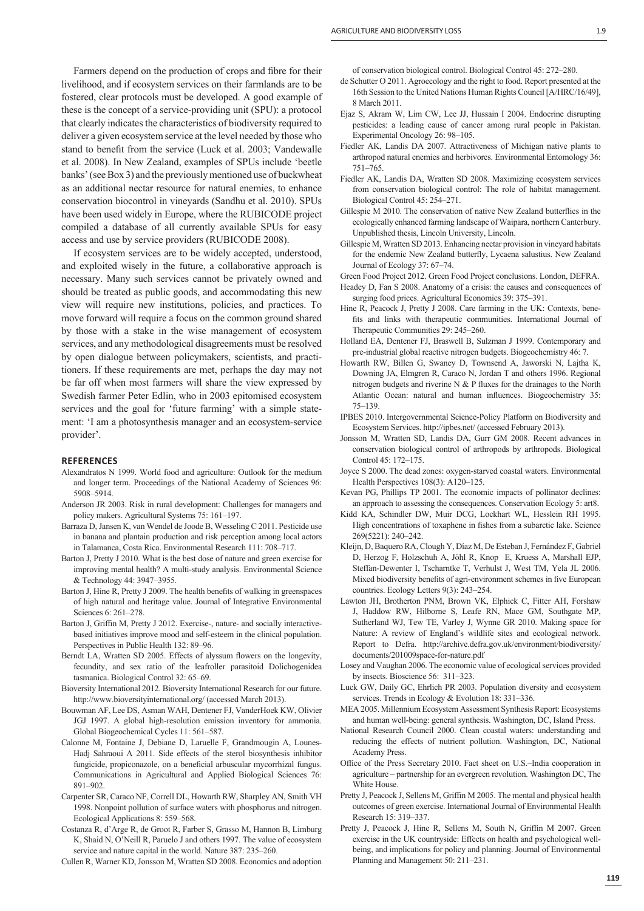Farmers depend on the production of crops and fibre for their livelihood, and if ecosystem services on their farmlands are to be fostered, clear protocols must be developed. A good example of these is the concept of a service-providing unit (SPU): a protocol that clearly indicates the characteristics of biodiversity required to deliver a given ecosystem service at the level needed by those who stand to benefit from the service (Luck et al. 2003; Vandewalle et al. 2008). In New Zealand, examples of SPUs include 'beetle banks' (see Box 3) and the previously mentioned use of buckwheat as an additional nectar resource for natural enemies, to enhance conservation biocontrol in vineyards (Sandhu et al. 2010). SPUs have been used widely in Europe, where the RUBICODE project compiled a database of all currently available SPUs for easy access and use by service providers (RUBICODE 2008).

If ecosystem services are to be widely accepted, understood, and exploited wisely in the future, a collaborative approach is necessary. Many such services cannot be privately owned and should be treated as public goods, and accommodating this new view will require new institutions, policies, and practices. To move forward will require a focus on the common ground shared by those with a stake in the wise management of ecosystem services, and any methodological disagreements must be resolved by open dialogue between policymakers, scientists, and practitioners. If these requirements are met, perhaps the day may not be far off when most farmers will share the view expressed by Swedish farmer Peter Edlin, who in 2003 epitomised ecosystem services and the goal for 'future farming' with a simple statement: 'I am a photosynthesis manager and an ecosystem-service provider'.

#### **REFERENCES**

- Alexandratos N 1999. World food and agriculture: Outlook for the medium and longer term. Proceedings of the National Academy of Sciences 96: 5908–5914.
- Anderson JR 2003. Risk in rural development: Challenges for managers and policy makers. Agricultural Systems 75: 161–197.
- Barraza D, Jansen K, van Wendel de Joode B, Wesseling C 2011. Pesticide use in banana and plantain production and risk perception among local actors in Talamanca, Costa Rica. Environmental Research 111: 708–717.
- Barton J, Pretty J 2010. What is the best dose of nature and green exercise for improving mental health? A multi-study analysis. Environmental Science & Technology 44: 3947–3955.
- Barton J, Hine R, Pretty J 2009. The health benefits of walking in greenspaces of high natural and heritage value. Journal of Integrative Environmental Sciences 6: 261–278.
- Barton J, Griffin M, Pretty J 2012. Exercise-, nature- and socially interactivebased initiatives improve mood and self-esteem in the clinical population. Perspectives in Public Health 132: 89–96.
- Berndt LA, Wratten SD 2005. Effects of alyssum flowers on the longevity, fecundity, and sex ratio of the leafroller parasitoid Dolichogenidea tasmanica. Biological Control 32: 65–69.
- Bioversity International 2012. Bioversity International Research for our future. http://www.bioversityinternational.org/ (accessed March 2013).
- Bouwman AF, Lee DS, Asman WAH, Dentener FJ, VanderHoek KW, Olivier JGJ 1997. A global high-resolution emission inventory for ammonia. Global Biogeochemical Cycles 11: 561–587.
- Calonne M, Fontaine J, Debiane D, Laruelle F, Grandmougin A, Lounes-Hadj Sahraoui A 2011. Side effects of the sterol biosynthesis inhibitor fungicide, propiconazole, on a beneficial arbuscular mycorrhizal fungus. Communications in Agricultural and Applied Biological Sciences 76: 891–902.
- Carpenter SR, Caraco NF, Correll DL, Howarth RW, Sharpley AN, Smith VH 1998. Nonpoint pollution of surface waters with phosphorus and nitrogen. Ecological Applications 8: 559–568.
- Costanza R, d'Arge R, de Groot R, Farber S, Grasso M, Hannon B, Limburg K, Shaid N, O'Neill R, Paruelo J and others 1997. The value of ecosystem service and nature capital in the world. Nature 387: 235–260.
- Cullen R, Warner KD, Jonsson M, Wratten SD 2008. Economics and adoption

of conservation biological control. Biological Control 45: 272–280.

- de Schutter O 2011. Agroecology and the right to food. Report presented at the 16th Session to the United Nations Human Rights Council [A/HRC/16/49], 8 March 2011.
- Ejaz S, Akram W, Lim CW, Lee JJ, Hussain I 2004. Endocrine disrupting pesticides: a leading cause of cancer among rural people in Pakistan. Experimental Oncology 26: 98–105.
- Fiedler AK, Landis DA 2007. Attractiveness of Michigan native plants to arthropod natural enemies and herbivores. Environmental Entomology 36: 751–765.
- Fiedler AK, Landis DA, Wratten SD 2008. Maximizing ecosystem services from conservation biological control: The role of habitat management. Biological Control 45: 254–271.
- Gillespie M 2010. The conservation of native New Zealand butterflies in the ecologically enhanced farming landscape of Waipara, northern Canterbury. Unpublished thesis, Lincoln University, Lincoln.
- Gillespie M, Wratten SD 2013. Enhancing nectar provision in vineyard habitats for the endemic New Zealand butterfly, Lycaena salustius. New Zealand Journal of Ecology 37: 67–74.
- Green Food Project 2012. Green Food Project conclusions. London, DEFRA.
- Headey D, Fan S 2008. Anatomy of a crisis: the causes and consequences of surging food prices. Agricultural Economics 39: 375–391.
- Hine R, Peacock J, Pretty J 2008. Care farming in the UK: Contexts, benefits and links with therapeutic communities. International Journal of Therapeutic Communities 29: 245–260.
- Holland EA, Dentener FJ, Braswell B, Sulzman J 1999. Contemporary and pre-industrial global reactive nitrogen budgets. Biogeochemistry 46: 7.
- Howarth RW, Billen G, Swaney D, Townsend A, Jaworski N, Lajtha K, Downing JA, Elmgren R, Caraco N, Jordan T and others 1996. Regional nitrogen budgets and riverine N  $&$  P fluxes for the drainages to the North Atlantic Ocean: natural and human influences. Biogeochemistry 35: 75–139.
- IPBES 2010. Intergovernmental Science-Policy Platform on Biodiversity and Ecosystem Services. http://ipbes.net/ (accessed February 2013).
- Jonsson M, Wratten SD, Landis DA, Gurr GM 2008. Recent advances in conservation biological control of arthropods by arthropods. Biological Control 45: 172–175.
- Joyce S 2000. The dead zones: oxygen-starved coastal waters. Environmental Health Perspectives 108(3): A120–125.
- Kevan PG, Phillips TP 2001. The economic impacts of pollinator declines: an approach to assessing the consequences. Conservation Ecology 5: art8.
- Kidd KA, Schindler DW, Muir DCG, Lockhart WL, Hesslein RH 1995. High concentrations of toxaphene in fishes from a subarctic lake. Science 269(5221): 240–242.
- Kleijn, D, Baquero RA, Clough Y, Díaz M, De Esteban J, Fernández F, Gabriel D, Herzog F, Holzschuh A, Jöhl R, Knop E, Kruess A, Marshall EJP, Steffan-Dewenter I, Tscharntke T, Verhulst J, West TM, Yela JL 2006. Mixed biodiversity benefits of agri-environment schemes in five European countries. Ecology Letters 9(3): 243–254.
- Lawton JH, Brotherton PNM, Brown VK, Elphick C, Fitter AH, Forshaw J, Haddow RW, Hilborne S, Leafe RN, Mace GM, Southgate MP, Sutherland WJ, Tew TE, Varley J, Wynne GR 2010. Making space for Nature: A review of England's wildlife sites and ecological network. Report to Defra. http://archive.defra.gov.uk/environment/biodiversity/ documents/201009space-for-nature.pdf
- Losey and Vaughan 2006. The economic value of ecological services provided by insects. Bioscience 56: 311–323.
- Luck GW, Daily GC, Ehrlich PR 2003. Population diversity and ecosystem services. Trends in Ecology & Evolution 18: 331-336.
- MEA 2005. Millennium Ecosystem Assessment Synthesis Report: Ecosystems and human well-being: general synthesis. Washington, DC, Island Press.
- National Research Council 2000. Clean coastal waters: understanding and reducing the effects of nutrient pollution. Washington, DC, National Academy Press.
- Office of the Press Secretary 2010. Fact sheet on U.S.–India cooperation in agriculture – partnership for an evergreen revolution. Washington DC, The White House.
- Pretty J, Peacock J, Sellens M, Griffin M 2005. The mental and physical health outcomes of green exercise. International Journal of Environmental Health Research 15: 319–337.
- Pretty J, Peacock J, Hine R, Sellens M, South N, Griffin M 2007. Green exercise in the UK countryside: Effects on health and psychological wellbeing, and implications for policy and planning. Journal of Environmental Planning and Management 50: 211–231.